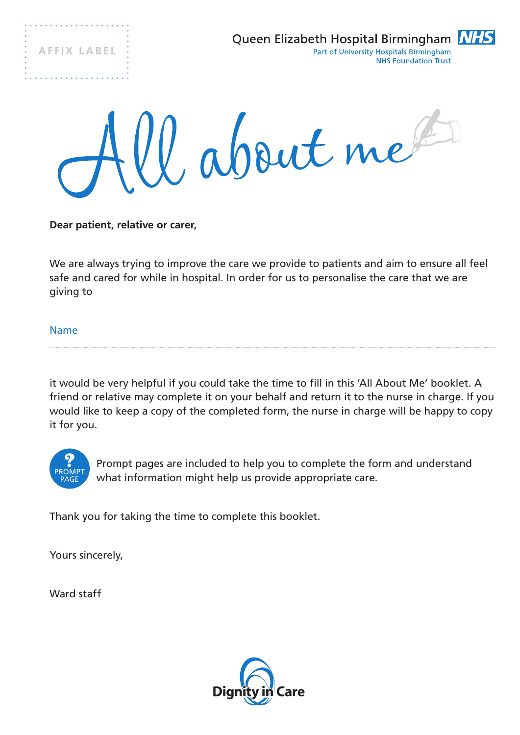**A F F I X L A B E L**

. . . . . . . . . . . . . . . .

. . . . . . . . . . .





**Dear patient, relative or carer,**

We are always trying to improve the care we provide to patients and aim to ensure all feel safe and cared for while in hospital. In order for us to personalise the care that we are giving to

Name

it would be very helpful if you could take the time to fill in this 'All About Me' booklet. A friend or relative may complete it on your behalf and return it to the nurse in charge. If you would like to keep a copy of the completed form, the nurse in charge will be happy to copy it for you.



Prompt pages are included to help you to complete the form and understand what information might help us provide appropriate care.

Thank you for taking the time to complete this booklet.

Yours sincerely,

Ward staff

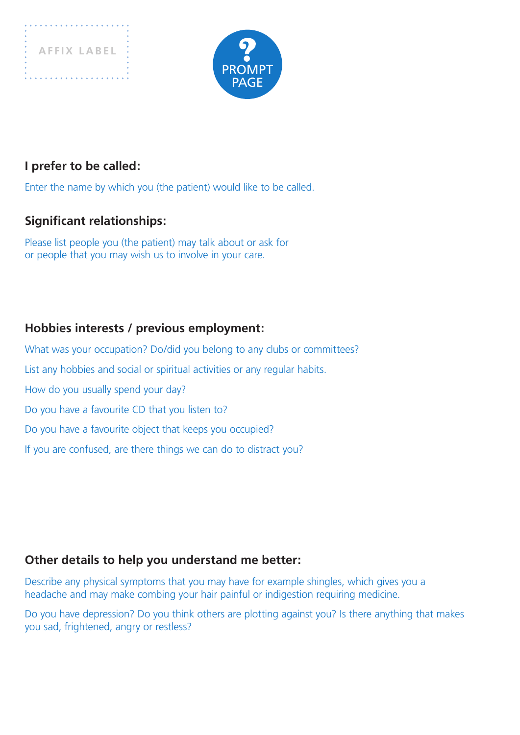



#### **I prefer to be called:**

Enter the name by which you (the patient) would like to be called.

#### **Significant relationships:**

Please list people you (the patient) may talk about or ask for or people that you may wish us to involve in your care.

#### **Hobbies interests / previous employment:**

What was your occupation? Do/did you belong to any clubs or committees? List any hobbies and social or spiritual activities or any regular habits. How do you usually spend your day? Do you have a favourite CD that you listen to? Do you have a favourite object that keeps you occupied? If you are confused, are there things we can do to distract you?

#### **Other details to help you understand me better:**

Describe any physical symptoms that you may have for example shingles, which gives you a headache and may make combing your hair painful or indigestion requiring medicine.

Do you have depression? Do you think others are plotting against you? Is there anything that makes you sad, frightened, angry or restless?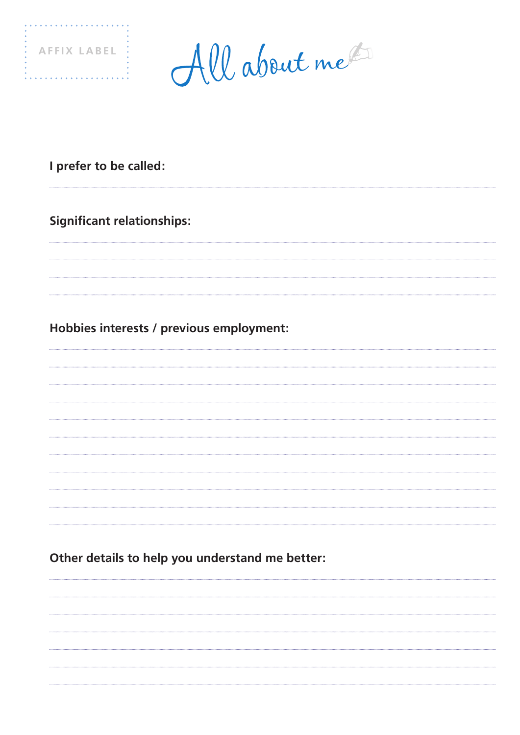

. . . . . . . . . . . . . . . . . .

All about me

## **I prefer to be called:**

## **Significant relationships:**

## **Hobbies interests / previous employment:**

**Other details to help you understand me better:**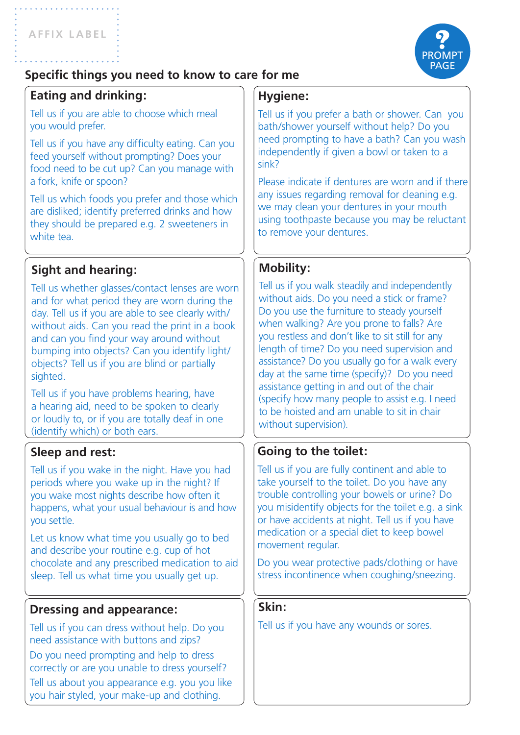

## **Specific things you need to know to care for me**

## **Eating and drinking:**

Tell us if you are able to choose which meal you would prefer.

Tell us if you have any difficulty eating. Can you feed yourself without prompting? Does your food need to be cut up? Can you manage with a fork, knife or spoon?

Tell us which foods you prefer and those which are disliked; identify preferred drinks and how they should be prepared e.g. 2 sweeteners in white tea.

## **Sight and hearing:**

Tell us whether glasses/contact lenses are worn and for what period they are worn during the day. Tell us if you are able to see clearly with/ without aids. Can you read the print in a book and can you find your way around without bumping into objects? Can you identify light/ objects? Tell us if you are blind or partially sighted.

Tell us if you have problems hearing, have a hearing aid, need to be spoken to clearly or loudly to, or if you are totally deaf in one (identify which) or both ears.

## **Sleep and rest:**

Tell us if you wake in the night. Have you had periods where you wake up in the night? If you wake most nights describe how often it happens, what your usual behaviour is and how you settle.

Let us know what time you usually go to bed and describe your routine e.g. cup of hot chocolate and any prescribed medication to aid sleep. Tell us what time you usually get up.

#### **Dressing and appearance:**

Tell us if you can dress without help. Do you need assistance with buttons and zips? Do you need prompting and help to dress correctly or are you unable to dress yourself? Tell us about you appearance e.g. you you like you hair styled, your make-up and clothing.

## **Hygiene:**

Tell us if you prefer a bath or shower. Can you bath/shower yourself without help? Do you need prompting to have a bath? Can you wash independently if given a bowl or taken to a sink?

Please indicate if dentures are worn and if there any issues regarding removal for cleaning e.g. we may clean your dentures in your mouth using toothpaste because you may be reluctant to remove your dentures.

## **Mobility:**

Tell us if you walk steadily and independently without aids. Do you need a stick or frame? Do you use the furniture to steady yourself when walking? Are you prone to falls? Are you restless and don't like to sit still for any length of time? Do you need supervision and assistance? Do you usually go for a walk every day at the same time (specify)? Do you need assistance getting in and out of the chair (specify how many people to assist e.g. I need to be hoisted and am unable to sit in chair without supervision).

## **Going to the toilet:**

Tell us if you are fully continent and able to take yourself to the toilet. Do you have any trouble controlling your bowels or urine? Do you misidentify objects for the toilet e.g. a sink or have accidents at night. Tell us if you have medication or a special diet to keep bowel movement regular.

Do you wear protective pads/clothing or have stress incontinence when coughing/sneezing.

#### **Skin:**

Tell us if you have any wounds or sores.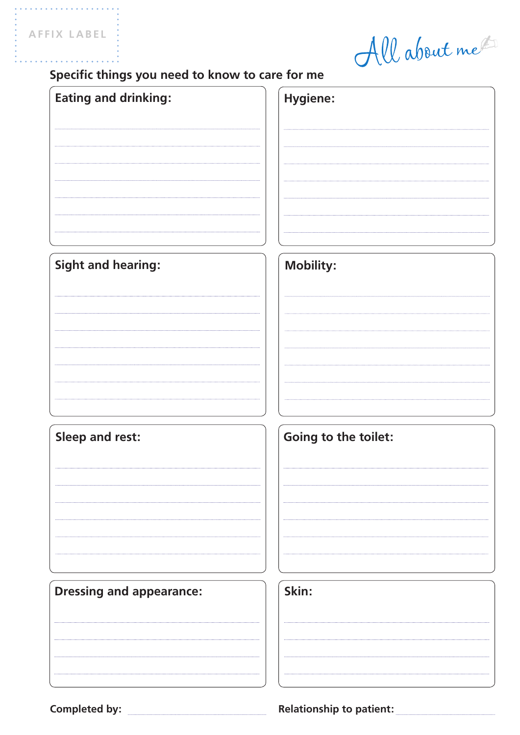. . . . . . . . . . .

All about me

## **Specific things you need to know to care for me**

| <b>Eating and drinking:</b>     | Hygiene:             |
|---------------------------------|----------------------|
| <b>Sight and hearing:</b>       | <b>Mobility:</b>     |
| <b>Sleep and rest:</b>          | Going to the toilet: |
| <b>Dressing and appearance:</b> | Skin:                |

Completed by: <u>Completed by: Relationship to patient:</u>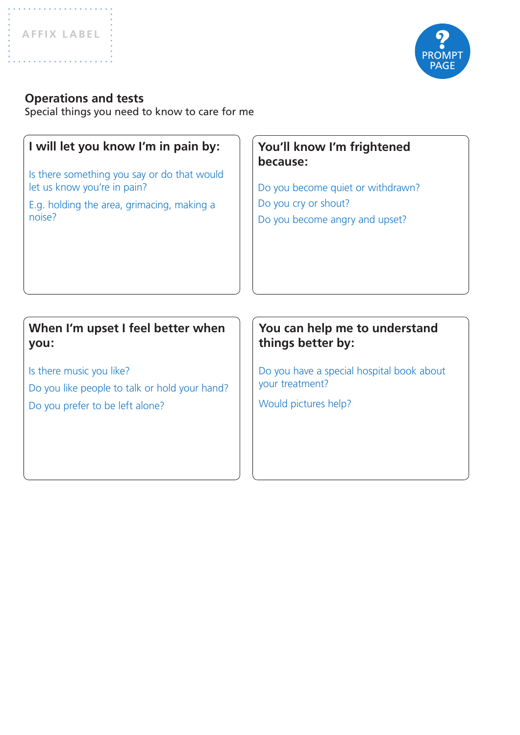. . . . . . . . . . . . . . . . .



#### **Operations and tests**

Special things you need to know to care for me

# **I will let you know I'm in pain by:** Is there something you say or do that would let us know you're in pain? E.g. holding the area, grimacing, making a noise? **You'll know I'm frightened because:** Do you become quiet or withdrawn? Do you cry or shout? Do you become angry and upset? **You can help me to understand things better by:** Do you have a special hospital book about your treatment? Would pictures help? **When I'm upset I feel better when you:** Is there music you like? Do you like people to talk or hold your hand? Do you prefer to be left alone?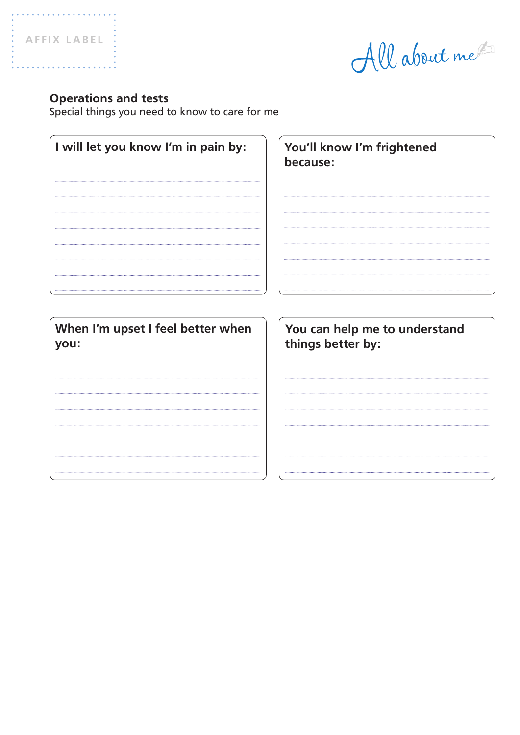. . . . . . . . . . . . . . . . . . . .

All about me

#### **Operations and tests**

Special things you need to know to care for me

| I will let you know I'm in pain by: | You'll know I'm frightened<br>because: |
|-------------------------------------|----------------------------------------|
| When I'm upset I feel better when   | You can help me to understand          |
| you:                                | things better by:                      |